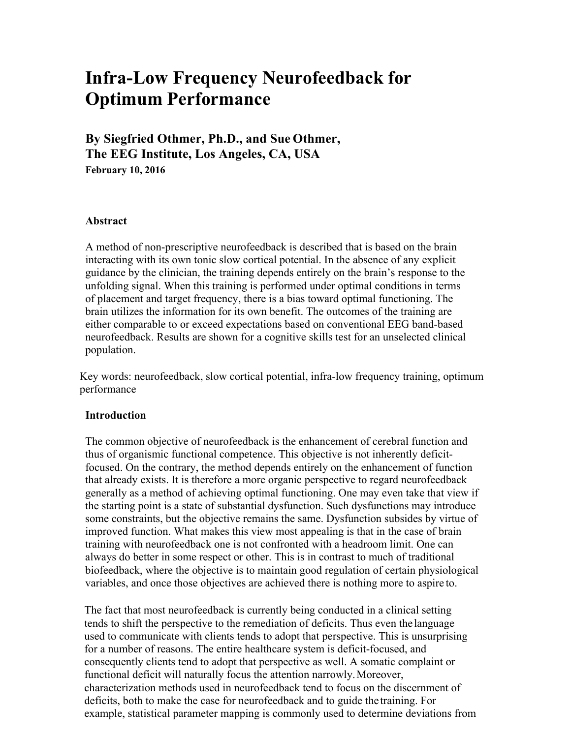# **Infra-Low Frequency Neurofeedback for Optimum Performance**

**By Siegfried Othmer, Ph.D., and Sue Othmer, The EEG Institute, Los Angeles, CA, USA February 10, 2016**

#### **Abstract**

A method of non-prescriptive neurofeedback is described that is based on the brain interacting with its own tonic slow cortical potential. In the absence of any explicit guidance by the clinician, the training depends entirely on the brain's response to the unfolding signal. When this training is performed under optimal conditions in terms of placement and target frequency, there is a bias toward optimal functioning. The brain utilizes the information for its own benefit. The outcomes of the training are either comparable to or exceed expectations based on conventional EEG band-based neurofeedback. Results are shown for a cognitive skills test for an unselected clinical population.

Key words: neurofeedback, slow cortical potential, infra-low frequency training, optimum performance

#### **Introduction**

The common objective of neurofeedback is the enhancement of cerebral function and thus of organismic functional competence. This objective is not inherently deficitfocused. On the contrary, the method depends entirely on the enhancement of function that already exists. It is therefore a more organic perspective to regard neurofeedback generally as a method of achieving optimal functioning. One may even take that view if the starting point is a state of substantial dysfunction. Such dysfunctions may introduce some constraints, but the objective remains the same. Dysfunction subsides by virtue of improved function. What makes this view most appealing is that in the case of brain training with neurofeedback one is not confronted with a headroom limit. One can always do better in some respect or other. This is in contrast to much of traditional biofeedback, where the objective is to maintain good regulation of certain physiological variables, and once those objectives are achieved there is nothing more to aspire to.

The fact that most neurofeedback is currently being conducted in a clinical setting tends to shift the perspective to the remediation of deficits. Thus even the language used to communicate with clients tends to adopt that perspective. This is unsurprising for a number of reasons. The entire healthcare system is deficit-focused, and consequently clients tend to adopt that perspective as well. A somatic complaint or functional deficit will naturally focus the attention narrowly. Moreover, characterization methods used in neurofeedback tend to focus on the discernment of deficits, both to make the case for neurofeedback and to guide the training. For example, statistical parameter mapping is commonly used to determine deviations from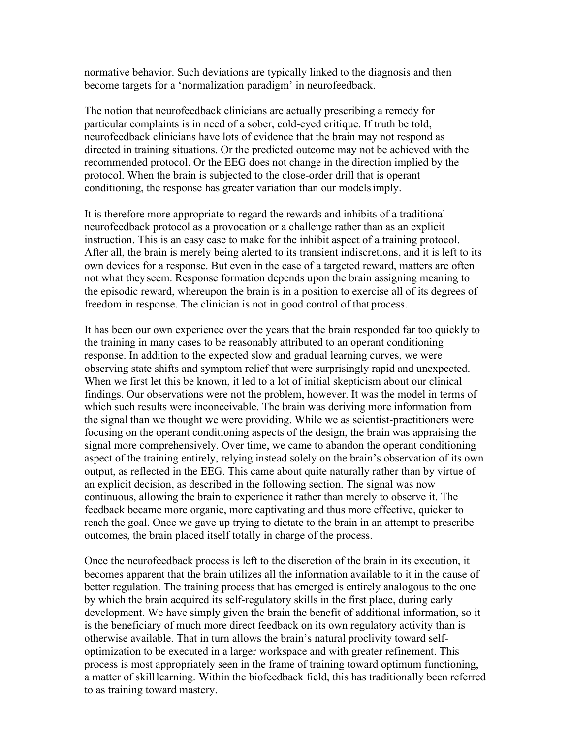normative behavior. Such deviations are typically linked to the diagnosis and then become targets for a 'normalization paradigm' in neurofeedback.

The notion that neurofeedback clinicians are actually prescribing a remedy for particular complaints is in need of a sober, cold-eyed critique. If truth be told, neurofeedback clinicians have lots of evidence that the brain may not respond as directed in training situations. Or the predicted outcome may not be achieved with the recommended protocol. Or the EEG does not change in the direction implied by the protocol. When the brain is subjected to the close-order drill that is operant conditioning, the response has greater variation than our modelsimply.

It is therefore more appropriate to regard the rewards and inhibits of a traditional neurofeedback protocol as a provocation or a challenge rather than as an explicit instruction. This is an easy case to make for the inhibit aspect of a training protocol. After all, the brain is merely being alerted to its transient indiscretions, and it is left to its own devices for a response. But even in the case of a targeted reward, matters are often not what theyseem. Response formation depends upon the brain assigning meaning to the episodic reward, whereupon the brain is in a position to exercise all of its degrees of freedom in response. The clinician is not in good control of that process.

It has been our own experience over the years that the brain responded far too quickly to the training in many cases to be reasonably attributed to an operant conditioning response. In addition to the expected slow and gradual learning curves, we were observing state shifts and symptom relief that were surprisingly rapid and unexpected. When we first let this be known, it led to a lot of initial skepticism about our clinical findings. Our observations were not the problem, however. It was the model in terms of which such results were inconceivable. The brain was deriving more information from the signal than we thought we were providing. While we as scientist-practitioners were focusing on the operant conditioning aspects of the design, the brain was appraising the signal more comprehensively. Over time, we came to abandon the operant conditioning aspect of the training entirely, relying instead solely on the brain's observation of its own output, as reflected in the EEG. This came about quite naturally rather than by virtue of an explicit decision, as described in the following section. The signal was now continuous, allowing the brain to experience it rather than merely to observe it. The feedback became more organic, more captivating and thus more effective, quicker to reach the goal. Once we gave up trying to dictate to the brain in an attempt to prescribe outcomes, the brain placed itself totally in charge of the process.

Once the neurofeedback process is left to the discretion of the brain in its execution, it becomes apparent that the brain utilizes all the information available to it in the cause of better regulation. The training process that has emerged is entirely analogous to the one by which the brain acquired its self-regulatory skills in the first place, during early development. We have simply given the brain the benefit of additional information, so it is the beneficiary of much more direct feedback on its own regulatory activity than is otherwise available. That in turn allows the brain's natural proclivity toward selfoptimization to be executed in a larger workspace and with greater refinement. This process is most appropriately seen in the frame of training toward optimum functioning, a matter of skilllearning. Within the biofeedback field, this has traditionally been referred to as training toward mastery.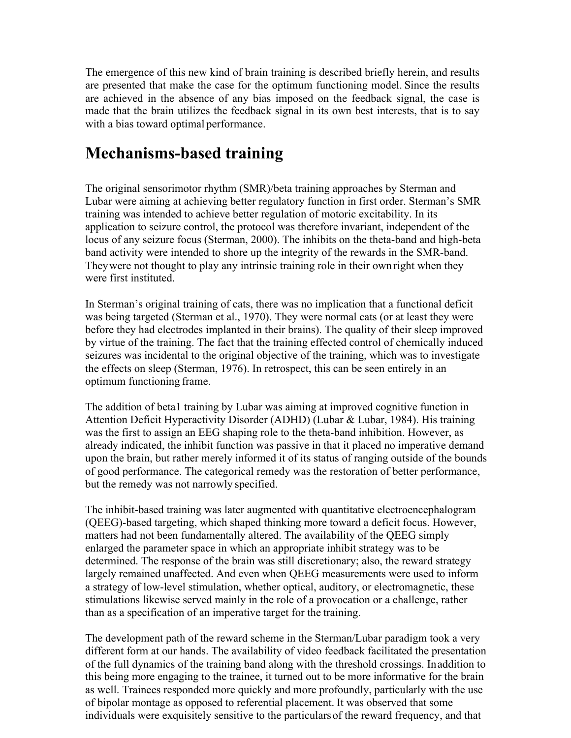The emergence of this new kind of brain training is described briefly herein, and results are presented that make the case for the optimum functioning model. Since the results are achieved in the absence of any bias imposed on the feedback signal, the case is made that the brain utilizes the feedback signal in its own best interests, that is to say with a bias toward optimal performance.

# **Mechanisms-based training**

The original sensorimotor rhythm (SMR)/beta training approaches by Sterman and Lubar were aiming at achieving better regulatory function in first order. Sterman's SMR training was intended to achieve better regulation of motoric excitability. In its application to seizure control, the protocol was therefore invariant, independent of the locus of any seizure focus (Sterman, 2000). The inhibits on the theta-band and high-beta band activity were intended to shore up the integrity of the rewards in the SMR-band. Theywere not thought to play any intrinsic training role in their own right when they were first instituted.

In Sterman's original training of cats, there was no implication that a functional deficit was being targeted (Sterman et al., 1970). They were normal cats (or at least they were before they had electrodes implanted in their brains). The quality of their sleep improved by virtue of the training. The fact that the training effected control of chemically induced seizures was incidental to the original objective of the training, which was to investigate the effects on sleep (Sterman, 1976). In retrospect, this can be seen entirely in an optimum functioning frame.

The addition of beta1 training by Lubar was aiming at improved cognitive function in Attention Deficit Hyperactivity Disorder (ADHD) (Lubar & Lubar, 1984). His training was the first to assign an EEG shaping role to the theta-band inhibition. However, as already indicated, the inhibit function was passive in that it placed no imperative demand upon the brain, but rather merely informed it of its status of ranging outside of the bounds of good performance. The categorical remedy was the restoration of better performance, but the remedy was not narrowly specified.

The inhibit-based training was later augmented with quantitative electroencephalogram (QEEG)-based targeting, which shaped thinking more toward a deficit focus. However, matters had not been fundamentally altered. The availability of the QEEG simply enlarged the parameter space in which an appropriate inhibit strategy was to be determined. The response of the brain was still discretionary; also, the reward strategy largely remained unaffected. And even when QEEG measurements were used to inform a strategy of low-level stimulation, whether optical, auditory, or electromagnetic, these stimulations likewise served mainly in the role of a provocation or a challenge, rather than as a specification of an imperative target for the training.

The development path of the reward scheme in the Sterman/Lubar paradigm took a very different form at our hands. The availability of video feedback facilitated the presentation of the full dynamics of the training band along with the threshold crossings. Inaddition to this being more engaging to the trainee, it turned out to be more informative for the brain as well. Trainees responded more quickly and more profoundly, particularly with the use of bipolar montage as opposed to referential placement. It was observed that some individuals were exquisitely sensitive to the particularsof the reward frequency, and that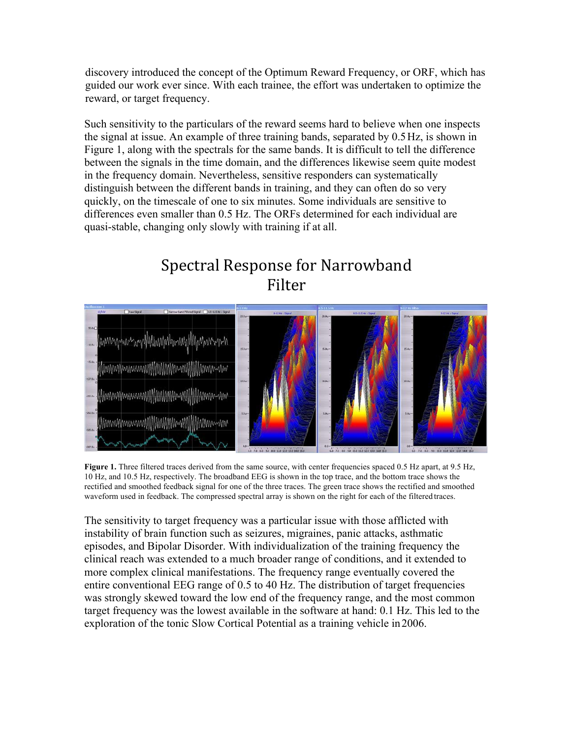discovery introduced the concept of the Optimum Reward Frequency, or ORF, which has guided our work ever since. With each trainee, the effort was undertaken to optimize the reward, or target frequency.

Such sensitivity to the particulars of the reward seems hard to believe when one inspects the signal at issue. An example of three training bands, separated by 0.5Hz, is shown in Figure 1, along with the spectrals for the same bands. It is difficult to tell the difference between the signals in the time domain, and the differences likewise seem quite modest in the frequency domain. Nevertheless, sensitive responders can systematically distinguish between the different bands in training, and they can often do so very quickly, on the timescale of one to six minutes. Some individuals are sensitive to differences even smaller than 0.5 Hz. The ORFs determined for each individual are quasi-stable, changing only slowly with training if at all.

# Spectral Response for Narrowband Filter



Figure 1. Three filtered traces derived from the same source, with center frequencies spaced 0.5 Hz apart, at 9.5 Hz, 10 Hz, and 10.5 Hz, respectively. The broadband EEG is shown in the top trace, and the bottom trace shows the rectified and smoothed feedback signal for one of the three traces. The green trace shows the rectified and smoothed waveform used in feedback. The compressed spectral array is shown on the right for each of the filtered traces.

The sensitivity to target frequency was a particular issue with those afflicted with instability of brain function such as seizures, migraines, panic attacks, asthmatic episodes, and Bipolar Disorder. With individualization of the training frequency the clinical reach was extended to a much broader range of conditions, and it extended to more complex clinical manifestations. The frequency range eventually covered the entire conventional EEG range of 0.5 to 40 Hz. The distribution of target frequencies was strongly skewed toward the low end of the frequency range, and the most common target frequency was the lowest available in the software at hand: 0.1 Hz. This led to the exploration of the tonic Slow Cortical Potential as a training vehicle in2006.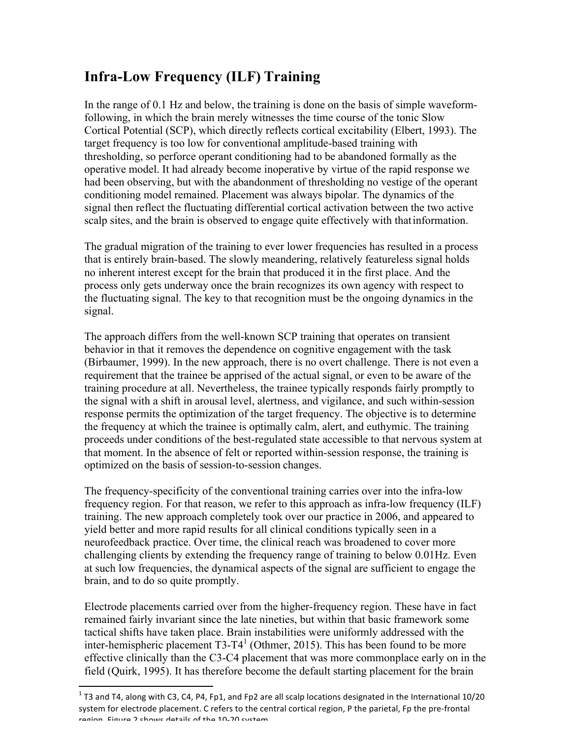## **Infra-Low Frequency (ILF) Training**

In the range of 0.1 Hz and below, the training is done on the basis of simple waveformfollowing, in which the brain merely witnesses the time course of the tonic Slow Cortical Potential (SCP), which directly reflects cortical excitability (Elbert, 1993). The target frequency is too low for conventional amplitude-based training with thresholding, so perforce operant conditioning had to be abandoned formally as the operative model. It had already become inoperative by virtue of the rapid response we had been observing, but with the abandonment of thresholding no vestige of the operant conditioning model remained. Placement was always bipolar. The dynamics of the signal then reflect the fluctuating differential cortical activation between the two active scalp sites, and the brain is observed to engage quite effectively with thatinformation.

The gradual migration of the training to ever lower frequencies has resulted in a process that is entirely brain-based. The slowly meandering, relatively featureless signal holds no inherent interest except for the brain that produced it in the first place. And the process only gets underway once the brain recognizes its own agency with respect to the fluctuating signal. The key to that recognition must be the ongoing dynamics in the signal.

The approach differs from the well-known SCP training that operates on transient behavior in that it removes the dependence on cognitive engagement with the task (Birbaumer, 1999). In the new approach, there is no overt challenge. There is not even a requirement that the trainee be apprised of the actual signal, or even to be aware of the training procedure at all. Nevertheless, the trainee typically responds fairly promptly to the signal with a shift in arousal level, alertness, and vigilance, and such within-session response permits the optimization of the target frequency. The objective is to determine the frequency at which the trainee is optimally calm, alert, and euthymic. The training proceeds under conditions of the best-regulated state accessible to that nervous system at that moment. In the absence of felt or reported within-session response, the training is optimized on the basis of session-to-session changes.

The frequency-specificity of the conventional training carries over into the infra-low frequency region. For that reason, we refer to this approach as infra-low frequency (ILF) training. The new approach completely took over our practice in 2006, and appeared to yield better and more rapid results for all clinical conditions typically seen in a neurofeedback practice. Over time, the clinical reach was broadened to cover more challenging clients by extending the frequency range of training to below 0.01Hz. Even at such low frequencies, the dynamical aspects of the signal are sufficient to engage the brain, and to do so quite promptly.

Electrode placements carried over from the higher-frequency region. These have in fact remained fairly invariant since the late nineties, but within that basic framework some tactical shifts have taken place. Brain instabilities were uniformly addressed with the inter-hemispheric placement  $T3-T4<sup>1</sup>$  (Othmer, 2015). This has been found to be more effective clinically than the C3-C4 placement that was more commonplace early on in the field (Quirk, 1995). It has therefore become the default starting placement for the brain

<u> 1989 - Jan Samuel Barbara, margaret e</u>

 $1$  T3 and T4, along with C3, C4, P4, Fp1, and Fp2 are all scalp locations designated in the International 10/20 system for electrode placement. C refers to the central cortical region, P the parietal, Fp the pre-frontal ragion. Figure 2 chows details of the 10-20 system.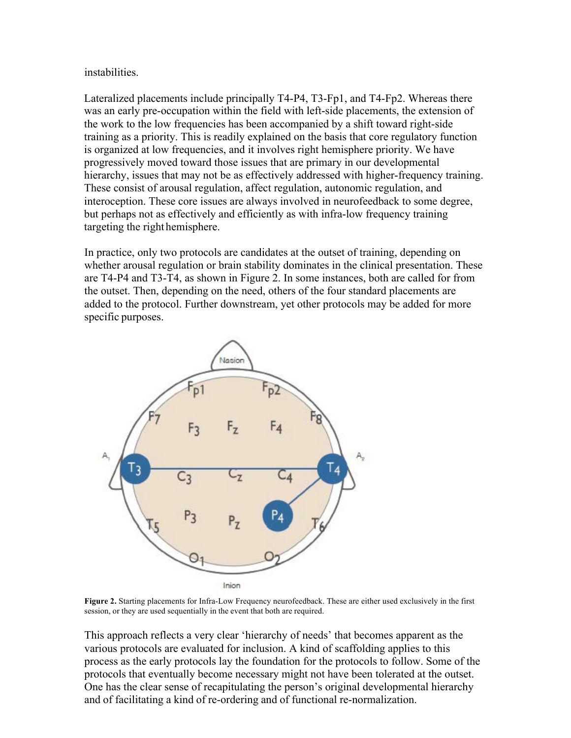#### instabilities.

Lateralized placements include principally T4-P4, T3-Fp1, and T4-Fp2. Whereas there was an early pre-occupation within the field with left-side placements, the extension of the work to the low frequencies has been accompanied by a shift toward right-side training as a priority. This is readily explained on the basis that core regulatory function is organized at low frequencies, and it involves right hemisphere priority. We have progressively moved toward those issues that are primary in our developmental hierarchy, issues that may not be as effectively addressed with higher-frequency training. These consist of arousal regulation, affect regulation, autonomic regulation, and interoception. These core issues are always involved in neurofeedback to some degree, but perhaps not as effectively and efficiently as with infra-low frequency training targeting the righthemisphere.

In practice, only two protocols are candidates at the outset of training, depending on whether arousal regulation or brain stability dominates in the clinical presentation. These are T4-P4 and T3-T4, as shown in Figure 2. In some instances, both are called for from the outset. Then, depending on the need, others of the four standard placements are added to the protocol. Further downstream, yet other protocols may be added for more specific purposes.



**Figure 2.** Starting placements for Infra-Low Frequency neurofeedback. These are either used exclusively in the first session, or they are used sequentially in the event that both are required.

This approach reflects a very clear 'hierarchy of needs' that becomes apparent as the various protocols are evaluated for inclusion. A kind of scaffolding applies to this process as the early protocols lay the foundation for the protocols to follow. Some of the protocols that eventually become necessary might not have been tolerated at the outset. One has the clear sense of recapitulating the person's original developmental hierarchy and of facilitating a kind of re-ordering and of functional re-normalization.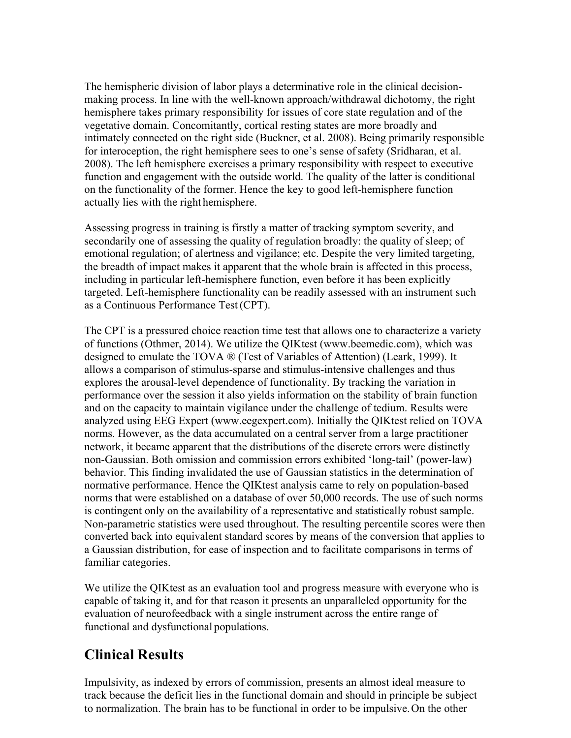The hemispheric division of labor plays a determinative role in the clinical decisionmaking process. In line with the well-known approach/withdrawal dichotomy, the right hemisphere takes primary responsibility for issues of core state regulation and of the vegetative domain. Concomitantly, cortical resting states are more broadly and intimately connected on the right side (Buckner, et al. 2008). Being primarily responsible for interoception, the right hemisphere sees to one's sense ofsafety (Sridharan, et al. 2008). The left hemisphere exercises a primary responsibility with respect to executive function and engagement with the outside world. The quality of the latter is conditional on the functionality of the former. Hence the key to good left-hemisphere function actually lies with the right hemisphere.

Assessing progress in training is firstly a matter of tracking symptom severity, and secondarily one of assessing the quality of regulation broadly: the quality of sleep; of emotional regulation; of alertness and vigilance; etc. Despite the very limited targeting, the breadth of impact makes it apparent that the whole brain is affected in this process, including in particular left-hemisphere function, even before it has been explicitly targeted. Left-hemisphere functionality can be readily assessed with an instrument such as a Continuous Performance Test(CPT).

The CPT is a pressured choice reaction time test that allows one to characterize a variety of functions (Othmer, 2014). We utilize the QIKtest (www.beemedic.com), which was designed to emulate the TOVA ® (Test of Variables of Attention) (Leark, 1999). It allows a comparison of stimulus-sparse and stimulus-intensive challenges and thus explores the arousal-level dependence of functionality. By tracking the variation in performance over the session it also yields information on the stability of brain function and on the capacity to maintain vigilance under the challenge of tedium. Results were analyzed using EEG Expert (www.eegexpert.com). Initially the QIKtest relied on TOVA norms. However, as the data accumulated on a central server from a large practitioner network, it became apparent that the distributions of the discrete errors were distinctly non-Gaussian. Both omission and commission errors exhibited 'long-tail' (power-law) behavior. This finding invalidated the use of Gaussian statistics in the determination of normative performance. Hence the QIKtest analysis came to rely on population-based norms that were established on a database of over 50,000 records. The use of such norms is contingent only on the availability of a representative and statistically robust sample. Non-parametric statistics were used throughout. The resulting percentile scores were then converted back into equivalent standard scores by means of the conversion that applies to a Gaussian distribution, for ease of inspection and to facilitate comparisons in terms of familiar categories.

We utilize the QIKtest as an evaluation tool and progress measure with everyone who is capable of taking it, and for that reason it presents an unparalleled opportunity for the evaluation of neurofeedback with a single instrument across the entire range of functional and dysfunctional populations.

## **Clinical Results**

Impulsivity, as indexed by errors of commission, presents an almost ideal measure to track because the deficit lies in the functional domain and should in principle be subject to normalization. The brain has to be functional in order to be impulsive.On the other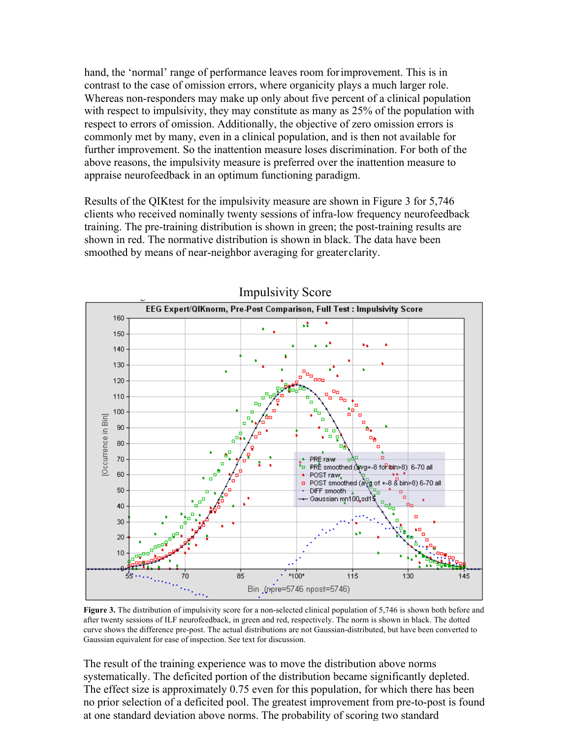hand, the 'normal' range of performance leaves room forimprovement. This is in contrast to the case of omission errors, where organicity plays a much larger role. Whereas non-responders may make up only about five percent of a clinical population with respect to impulsivity, they may constitute as many as 25% of the population with respect to errors of omission. Additionally, the objective of zero omission errors is commonly met by many, even in a clinical population, and is then not available for further improvement. So the inattention measure loses discrimination. For both of the above reasons, the impulsivity measure is preferred over the inattention measure to appraise neurofeedback in an optimum functioning paradigm.

Results of the QIKtest for the impulsivity measure are shown in Figure 3 for 5,746 clients who received nominally twenty sessions of infra-low frequency neurofeedback training. The pre-training distribution is shown in green; the post-training results are shown in red. The normative distribution is shown in black. The data have been smoothed by means of near-neighbor averaging for greater clarity.



Impulsivity Score

**Figure 3.** The distribution of impulsivity score for a non-selected clinical population of 5,746 is shown both before and after twenty sessions of ILF neurofeedback, in green and red, respectively. The norm is shown in black. The dotted curve shows the difference pre-post. The actual distributions are not Gaussian-distributed, but have been converted to Gaussian equivalent for ease of inspection. See text for discussion.

The result of the training experience was to move the distribution above norms systematically. The deficited portion of the distribution became significantly depleted. The effect size is approximately 0.75 even for this population, for which there has been no prior selection of a deficited pool. The greatest improvement from pre-to-post is found at one standard deviation above norms. The probability of scoring two standard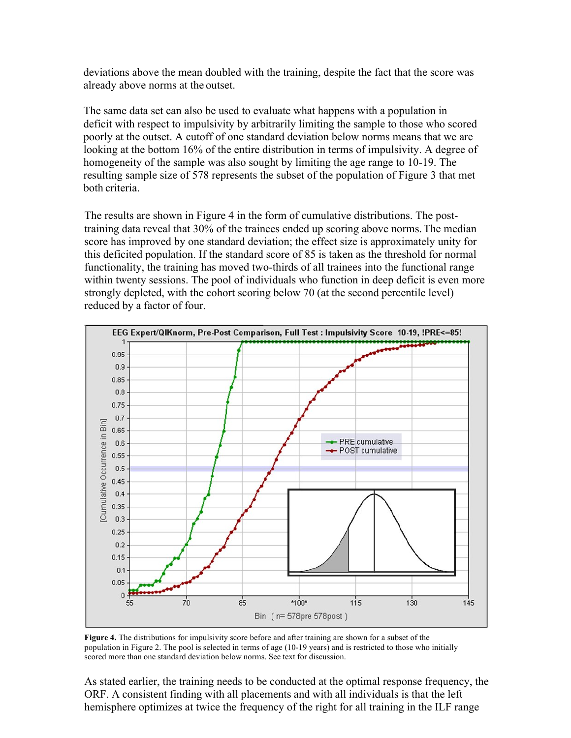deviations above the mean doubled with the training, despite the fact that the score was already above norms at the outset.

The same data set can also be used to evaluate what happens with a population in deficit with respect to impulsivity by arbitrarily limiting the sample to those who scored poorly at the outset. A cutoff of one standard deviation below norms means that we are looking at the bottom 16% of the entire distribution in terms of impulsivity. A degree of homogeneity of the sample was also sought by limiting the age range to 10-19. The resulting sample size of 578 represents the subset of the population of Figure 3 that met both criteria.

The results are shown in Figure 4 in the form of cumulative distributions. The posttraining data reveal that 30% of the trainees ended up scoring above norms.The median score has improved by one standard deviation; the effect size is approximately unity for this deficited population. If the standard score of 85 is taken as the threshold for normal functionality, the training has moved two-thirds of all trainees into the functional range within twenty sessions. The pool of individuals who function in deep deficit is even more strongly depleted, with the cohort scoring below 70 (at the second percentile level) reduced by a factor of four.



**Figure 4.** The distributions for impulsivity score before and after training are shown for a subset of the population in Figure 2. The pool is selected in terms of age (10-19 years) and is restricted to those who initially scored more than one standard deviation below norms. See text for discussion.

As stated earlier, the training needs to be conducted at the optimal response frequency, the ORF. A consistent finding with all placements and with all individuals is that the left hemisphere optimizes at twice the frequency of the right for all training in the ILF range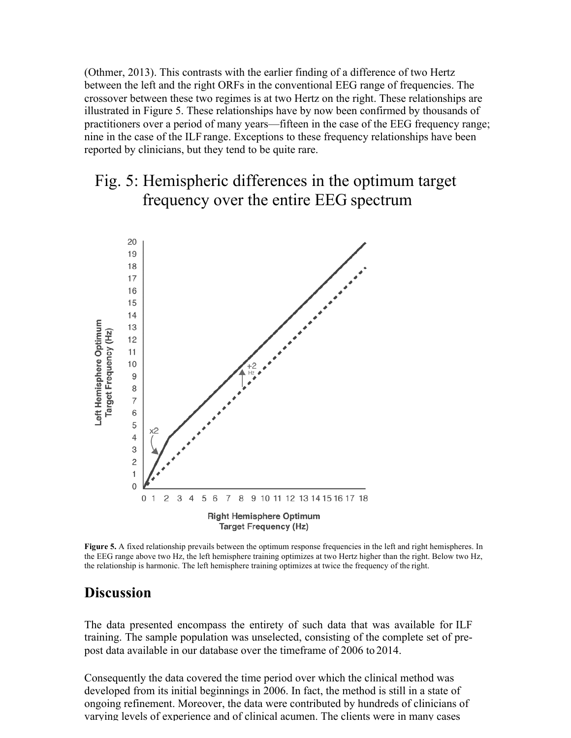(Othmer, 2013). This contrasts with the earlier finding of a difference of two Hertz between the left and the right ORFs in the conventional EEG range of frequencies. The crossover between these two regimes is at two Hertz on the right. These relationships are illustrated in Figure 5. These relationships have by now been confirmed by thousands of practitioners over a period of many years—fifteen in the case of the EEG frequency range; nine in the case of the ILF range. Exceptions to these frequency relationships have been reported by clinicians, but they tend to be quite rare.

## Fig. 5: Hemispheric differences in the optimum target frequency over the entire EEG spectrum



**Figure 5.** A fixed relationship prevails between the optimum response frequencies in the left and right hemispheres. In the EEG range above two Hz, the left hemisphere training optimizes at two Hertz higher than the right. Below two Hz, the relationship is harmonic. The left hemisphere training optimizes at twice the frequency of the right.

### **Discussion**

The data presented encompass the entirety of such data that was available for ILF training. The sample population was unselected, consisting of the complete set of prepost data available in our database over the timeframe of 2006 to 2014.

Consequently the data covered the time period over which the clinical method was developed from its initial beginnings in 2006. In fact, the method is still in a state of ongoing refinement. Moreover, the data were contributed by hundreds of clinicians of varying levels of experience and of clinical acumen. The clients were in many cases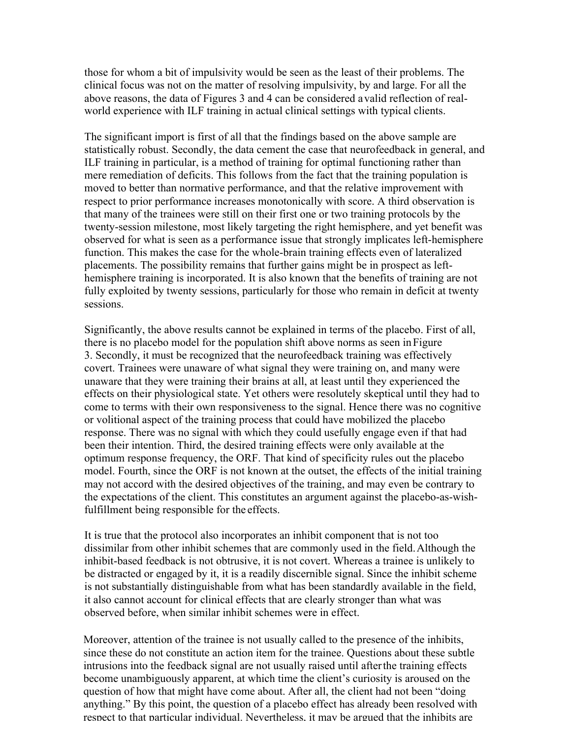those for whom a bit of impulsivity would be seen as the least of their problems. The clinical focus was not on the matter of resolving impulsivity, by and large. For all the above reasons, the data of Figures 3 and 4 can be considered avalid reflection of realworld experience with ILF training in actual clinical settings with typical clients.

The significant import is first of all that the findings based on the above sample are statistically robust. Secondly, the data cement the case that neurofeedback in general, and ILF training in particular, is a method of training for optimal functioning rather than mere remediation of deficits. This follows from the fact that the training population is moved to better than normative performance, and that the relative improvement with respect to prior performance increases monotonically with score. A third observation is that many of the trainees were still on their first one or two training protocols by the twenty-session milestone, most likely targeting the right hemisphere, and yet benefit was observed for what is seen as a performance issue that strongly implicates left-hemisphere function. This makes the case for the whole-brain training effects even of lateralized placements. The possibility remains that further gains might be in prospect as lefthemisphere training is incorporated. It is also known that the benefits of training are not fully exploited by twenty sessions, particularly for those who remain in deficit at twenty sessions.

Significantly, the above results cannot be explained in terms of the placebo. First of all, there is no placebo model for the population shift above norms as seen inFigure 3. Secondly, it must be recognized that the neurofeedback training was effectively covert. Trainees were unaware of what signal they were training on, and many were unaware that they were training their brains at all, at least until they experienced the effects on their physiological state. Yet others were resolutely skeptical until they had to come to terms with their own responsiveness to the signal. Hence there was no cognitive or volitional aspect of the training process that could have mobilized the placebo response. There was no signal with which they could usefully engage even if that had been their intention. Third, the desired training effects were only available at the optimum response frequency, the ORF. That kind of specificity rules out the placebo model. Fourth, since the ORF is not known at the outset, the effects of the initial training may not accord with the desired objectives of the training, and may even be contrary to the expectations of the client. This constitutes an argument against the placebo-as-wishfulfillment being responsible for the effects.

It is true that the protocol also incorporates an inhibit component that is not too dissimilar from other inhibit schemes that are commonly used in the field.Although the inhibit-based feedback is not obtrusive, it is not covert. Whereas a trainee is unlikely to be distracted or engaged by it, it is a readily discernible signal. Since the inhibit scheme is not substantially distinguishable from what has been standardly available in the field, it also cannot account for clinical effects that are clearly stronger than what was observed before, when similar inhibit schemes were in effect.

Moreover, attention of the trainee is not usually called to the presence of the inhibits, since these do not constitute an action item for the trainee. Questions about these subtle intrusions into the feedback signal are not usually raised until afterthe training effects become unambiguously apparent, at which time the client's curiosity is aroused on the question of how that might have come about. After all, the client had not been "doing anything." By this point, the question of a placebo effect has already been resolved with respect to that particular individual. Nevertheless, it may be argued that the inhibits are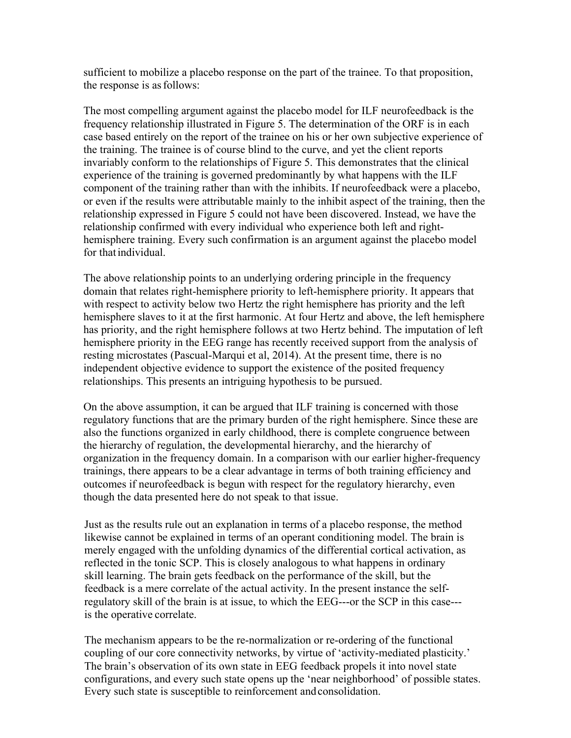sufficient to mobilize a placebo response on the part of the trainee. To that proposition, the response is asfollows:

The most compelling argument against the placebo model for ILF neurofeedback is the frequency relationship illustrated in Figure 5. The determination of the ORF is in each case based entirely on the report of the trainee on his or her own subjective experience of the training. The trainee is of course blind to the curve, and yet the client reports invariably conform to the relationships of Figure 5. This demonstrates that the clinical experience of the training is governed predominantly by what happens with the ILF component of the training rather than with the inhibits. If neurofeedback were a placebo, or even if the results were attributable mainly to the inhibit aspect of the training, then the relationship expressed in Figure 5 could not have been discovered. Instead, we have the relationship confirmed with every individual who experience both left and righthemisphere training. Every such confirmation is an argument against the placebo model for that individual.

The above relationship points to an underlying ordering principle in the frequency domain that relates right-hemisphere priority to left-hemisphere priority. It appears that with respect to activity below two Hertz the right hemisphere has priority and the left hemisphere slaves to it at the first harmonic. At four Hertz and above, the left hemisphere has priority, and the right hemisphere follows at two Hertz behind. The imputation of left hemisphere priority in the EEG range has recently received support from the analysis of resting microstates (Pascual-Marqui et al, 2014). At the present time, there is no independent objective evidence to support the existence of the posited frequency relationships. This presents an intriguing hypothesis to be pursued.

On the above assumption, it can be argued that ILF training is concerned with those regulatory functions that are the primary burden of the right hemisphere. Since these are also the functions organized in early childhood, there is complete congruence between the hierarchy of regulation, the developmental hierarchy, and the hierarchy of organization in the frequency domain. In a comparison with our earlier higher-frequency trainings, there appears to be a clear advantage in terms of both training efficiency and outcomes if neurofeedback is begun with respect for the regulatory hierarchy, even though the data presented here do not speak to that issue.

Just as the results rule out an explanation in terms of a placebo response, the method likewise cannot be explained in terms of an operant conditioning model. The brain is merely engaged with the unfolding dynamics of the differential cortical activation, as reflected in the tonic SCP. This is closely analogous to what happens in ordinary skill learning. The brain gets feedback on the performance of the skill, but the feedback is a mere correlate of the actual activity. In the present instance the selfregulatory skill of the brain is at issue, to which the EEG---or the SCP in this case-- is the operative correlate.

The mechanism appears to be the re-normalization or re-ordering of the functional coupling of our core connectivity networks, by virtue of 'activity-mediated plasticity.' The brain's observation of its own state in EEG feedback propels it into novel state configurations, and every such state opens up the 'near neighborhood' of possible states. Every such state is susceptible to reinforcement andconsolidation.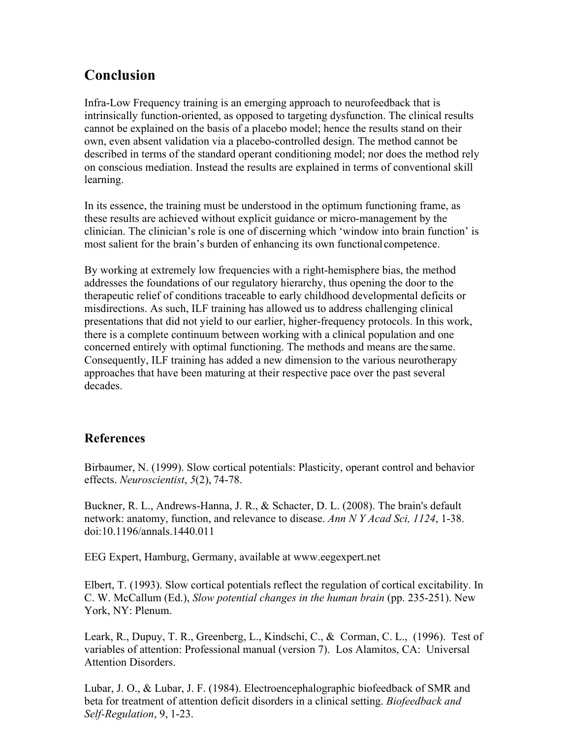## **Conclusion**

Infra-Low Frequency training is an emerging approach to neurofeedback that is intrinsically function-oriented, as opposed to targeting dysfunction. The clinical results cannot be explained on the basis of a placebo model; hence the results stand on their own, even absent validation via a placebo-controlled design. The method cannot be described in terms of the standard operant conditioning model; nor does the method rely on conscious mediation. Instead the results are explained in terms of conventional skill learning.

In its essence, the training must be understood in the optimum functioning frame, as these results are achieved without explicit guidance or micro-management by the clinician. The clinician's role is one of discerning which 'window into brain function' is most salient for the brain's burden of enhancing its own functionalcompetence.

By working at extremely low frequencies with a right-hemisphere bias, the method addresses the foundations of our regulatory hierarchy, thus opening the door to the therapeutic relief of conditions traceable to early childhood developmental deficits or misdirections. As such, ILF training has allowed us to address challenging clinical presentations that did not yield to our earlier, higher-frequency protocols. In this work, there is a complete continuum between working with a clinical population and one concerned entirely with optimal functioning. The methods and means are the same. Consequently, ILF training has added a new dimension to the various neurotherapy approaches that have been maturing at their respective pace over the past several decades.

### **References**

Birbaumer, N. (1999). Slow cortical potentials: Plasticity, operant control and behavior effects. *Neuroscientist*, *5*(2), 74-78.

 Buckner, R. L., Andrews-Hanna, J. R., & Schacter, D. L. (2008). The brain's default network: anatomy, function, and relevance to disease. *Ann N Y Acad Sci, 1124*, 1-38. doi:10.1196/annals.1440.011

EEG Expert, Hamburg, Germany, available at www.eegexpert.net

Elbert, T. (1993). Slow cortical potentials reflect the regulation of cortical excitability. In C. W. McCallum (Ed.), *Slow potential changes in the human brain* (pp. 235-251). New York, NY: Plenum.

Leark, R., Dupuy, T. R., Greenberg, L., Kindschi, C., & Corman, C. L., (1996). Test of variables of attention: Professional manual (version 7). Los Alamitos, CA: Universal Attention Disorders.

Lubar, J. O., & Lubar, J. F. (1984). Electroencephalographic biofeedback of SMR and beta for treatment of attention deficit disorders in a clinical setting. *Biofeedback and Self-Regulation*, 9, 1-23.